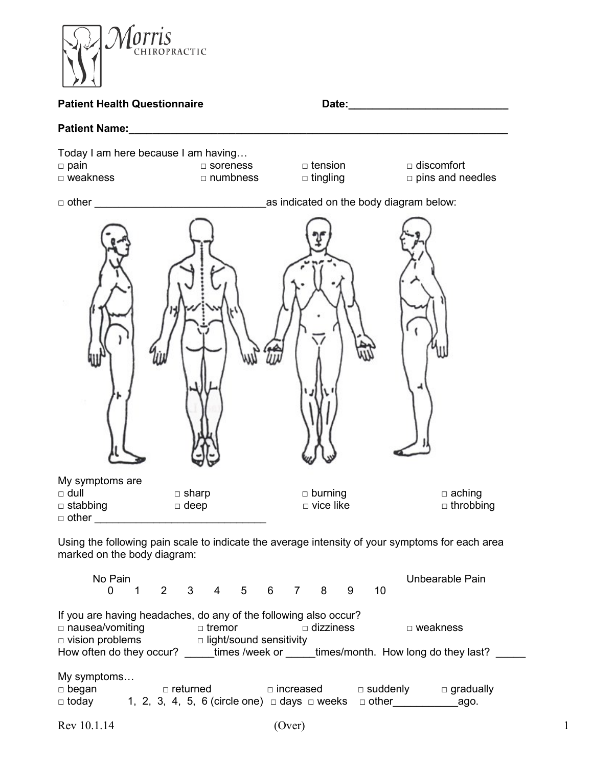

Using the following pain scale to indicate the average intensity of your symptoms for each area marked on the body diagram:

No Pain Unbearable Pain 0 1 2 3 4 5 6 7 8 9 10 If you are having headaches, do any of the following also occur? □ nausea/vomiting □ tremor □ dizziness □ weakness □ vision problems □ light/sound sensitivity How often do they occur? \_\_\_\_\_times /week or \_\_\_\_\_times/month. How long do they last? \_\_\_\_\_ My symptoms…  $\Box$  began  $\Box$   $\Box$  returned  $\Box$   $\Box$  increased  $\Box$  suddenly  $\Box$  gradually  $\Box$  today  $\qquad$  1, 2, 3, 4, 5, 6 (circle one)  $\Box$  days  $\Box$  weeks  $\qquadBox$  other  $\qquad \qquad$   $\qquad$   $\qquad$   $\qquad$   $\qquad$   $\qquad$   $\Box$